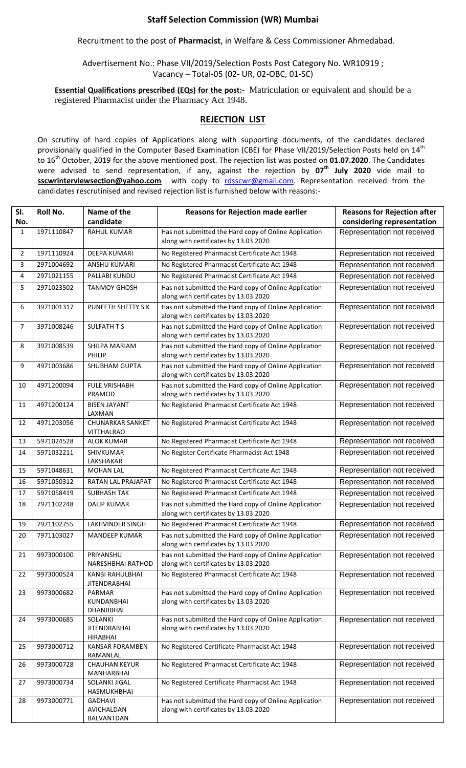## **Staff Selection Commission (WR) Mumbai**

Recruitment to the post of **Pharmacist**, in Welfare & Cess Commissioner Ahmedabad.

Advertisement No.: Phase VII/2019/Selection Posts Post Category No. WR10919 ; Vacancy – Total-05 (02- UR, 02-OBC, 01-SC)

**Essential Qualifications prescribed (EQs) for the post:-** Matriculation or equivalent and should be a registered Pharmacist under the Pharmacy Act 1948.

## **REJECTION LIST**

On scrutiny of hard copies of Applications along with supporting documents, of the candidates declared provisionally qualified in the Computer Based Examination (CBE) for Phase VII/2019/Selection Posts held on 14<sup>th</sup> to 16th October, 2019 for the above mentioned post. The rejection list was posted on **01.07.2020**. The Candidates were advised to send representation, if any, against the rejection by **07 th July 2020** vide mail to sscwrinterviewsection@yahoo.com with copy to [rdsscwr@gmail.com.](mailto:rdsscwr@gmail.com) Representation received from the candidates rescrutinised and revised rejection list is furnished below with reasons:-

| SI.            | Roll No.   | Name of the                                       | <b>Reasons for Rejection made earlier</b>                                                      | <b>Reasons for Rejection after</b> |
|----------------|------------|---------------------------------------------------|------------------------------------------------------------------------------------------------|------------------------------------|
| No.            |            | candidate                                         |                                                                                                | considering representation         |
| 1              | 1971110847 | <b>RAHUL KUMAR</b>                                | Has not submitted the Hard copy of Online Application<br>along with certificates by 13.03.2020 | Representation not received        |
| $\overline{2}$ | 1971110924 | <b>DEEPA KUMARI</b>                               | No Registered Pharmacist Certificate Act 1948                                                  | Representation not received        |
| 3              | 2971004692 | <b>ANSHU KUMARI</b>                               | No Registered Pharmacist Certificate Act 1948                                                  | Representation not received        |
| 4              | 2971021155 | PALLABI KUNDU                                     | No Registered Pharmacist Certificate Act 1948                                                  | Representation not received        |
| 5              | 2971023502 | <b>TANMOY GHOSH</b>                               | Has not submitted the Hard copy of Online Application<br>along with certificates by 13.03.2020 | Representation not received        |
| 6              | 3971001317 | <b>PUNEETH SHETTY SK</b>                          | Has not submitted the Hard copy of Online Application<br>along with certificates by 13.03.2020 | Representation not received        |
| $\overline{7}$ | 3971008246 | SULFATH T S                                       | Has not submitted the Hard copy of Online Application<br>along with certificates by 13.03.2020 | Representation not received        |
| 8              | 3971008539 | SHILPA MARIAM<br>PHILIP                           | Has not submitted the Hard copy of Online Application<br>along with certificates by 13.03.2020 | Representation not received        |
| 9              | 4971003686 | <b>SHUBHAM GUPTA</b>                              | Has not submitted the Hard copy of Online Application<br>along with certificates by 13.03.2020 | Representation not received        |
| 10             | 4971200094 | <b>FULE VRISHABH</b><br>PRAMOD                    | Has not submitted the Hard copy of Online Application<br>along with certificates by 13.03.2020 | Representation not received        |
| 11             | 4971200124 | <b>BISEN JAYANT</b><br>LAXMAN                     | No Registered Pharmacist Certificate Act 1948                                                  | Representation not received        |
| 12             | 4971203056 | <b>CHUNARKAR SANKET</b><br><b>VITTHALRAO</b>      | No Registered Pharmacist Certificate Act 1948                                                  | Representation not received        |
| 13             | 5971024528 | <b>ALOK KUMAR</b>                                 | No Registered Pharmacist Certificate Act 1948                                                  | Representation not received        |
| 14             | 5971032211 | SHIVKUMAR<br>LAKSHAKAR                            | No Register Certificate Pharmacist Act 1948                                                    | Representation not received        |
| 15             | 5971048631 | <b>MOHAN LAL</b>                                  | No Registered Pharmacist Certificate Act 1948                                                  | Representation not received        |
| 16             | 5971050312 | RATAN LAL PRAJAPAT                                | No Registered Pharmacist Certificate Act 1948                                                  | Representation not received        |
| 17             | 5971058419 | <b>SUBHASH TAK</b>                                | No Registered Pharmacist Certificate Act 1948                                                  | Representation not received        |
| 18             | 7971102248 | <b>DALIP KUMAR</b>                                | Has not submitted the Hard copy of Online Application<br>along with certificates by 13.03.2020 | Representation not received        |
| 19             | 7971102755 | <b>LAKHVINDER SINGH</b>                           | No Registered Pharmacist Certificate Act 1948                                                  | Representation not received        |
| 20             | 7971103027 | MANDEEP KUMAR                                     | Has not submitted the Hard copy of Online Application<br>along with certificates by 13.03.2020 | Representation not received        |
| 21             | 9973000100 | PRIYANSHU<br>NARESHBHAI RATHOD                    | Has not submitted the Hard copy of Online Application<br>along with certificates by 13.03.2020 | Representation not received        |
| 22             | 9973000524 | KANBI RAHULBHAI<br><b>JITENDRABHAI</b>            | No Registered Pharmacist Certificate Act 1948                                                  | Representation not received        |
| 23             | 9973000682 | PARMAR<br>KUNDANBHAI<br>DHANJIBHAI                | Has not submitted the Hard copy of Online Application<br>along with certificates by 13.03.2020 | Representation not received        |
| 24             | 9973000685 | SOLANKI<br><b>JITENDRABHAI</b><br><b>HIRABHAI</b> | Has not submitted the Hard copy of Online Application<br>along with certificates by 13.03.2020 | Representation not received        |
| 25             | 9973000712 | KANSAR FORAMBEN<br>RAMANLAL                       | No Registered Certificate Pharmacist Act 1948                                                  | Representation not received        |
| 26             | 9973000728 | <b>CHAUHAN KEYUR</b><br>MANHARBHAI                | No Registered Pharmacist Certificate Act 1948                                                  | Representation not received        |
| 27             | 9973000734 | SOLANKI JIGAL<br>HASMUKHBHAI                      | No Registered Certificate Pharmacist Act 1948                                                  | Representation not received        |
| 28             | 9973000771 | <b>GADHAVI</b><br>AVICHALDAN<br>BALVANTDAN        | Has not submitted the Hard copy of Online Application<br>along with certificates by 13.03.2020 | Representation not received        |